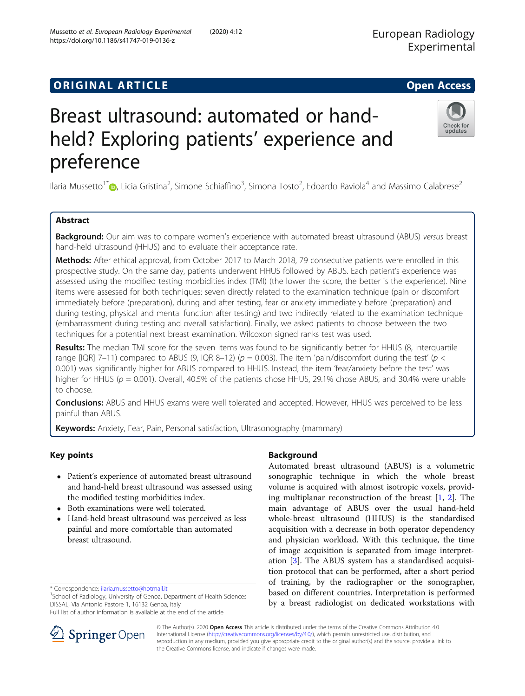## **ORIGINAL ARTICLE** And the open Access of the Open Access of the Open Access of the Open Access of the Open Access

# Breast ultrasound: automated or handheld? Exploring patients' experience and preference

Ilaria Mussetto<sup>1\*</sup> (D, Licia Gristina<sup>2</sup>, Simone Schiaffino<sup>3</sup>, Simona Tosto<sup>2</sup>, Edoardo Raviola<sup>4</sup> and Massimo Calabrese<sup>2</sup>

## Abstract

Background: Our aim was to compare women's experience with automated breast ultrasound (ABUS) versus breast hand-held ultrasound (HHUS) and to evaluate their acceptance rate.

Methods: After ethical approval, from October 2017 to March 2018, 79 consecutive patients were enrolled in this prospective study. On the same day, patients underwent HHUS followed by ABUS. Each patient's experience was assessed using the modified testing morbidities index (TMI) (the lower the score, the better is the experience). Nine items were assessed for both techniques: seven directly related to the examination technique (pain or discomfort immediately before (preparation), during and after testing, fear or anxiety immediately before (preparation) and during testing, physical and mental function after testing) and two indirectly related to the examination technique (embarrassment during testing and overall satisfaction). Finally, we asked patients to choose between the two techniques for a potential next breast examination. Wilcoxon signed ranks test was used.

Results: The median TMI score for the seven items was found to be significantly better for HHUS (8, interquartile range [IQR] 7–11) compared to ABUS (9, IQR 8–12) ( $p = 0.003$ ). The item 'pain/discomfort during the test' ( $p <$ 0.001) was significantly higher for ABUS compared to HHUS. Instead, the item 'fear/anxiety before the test' was higher for HHUS ( $p = 0.001$ ). Overall, 40.5% of the patients chose HHUS, 29.1% chose ABUS, and 30.4% were unable to choose.

**Conclusions:** ABUS and HHUS exams were well tolerated and accepted. However, HHUS was perceived to be less painful than ABUS.

**Keywords:** Anxiety, Fear, Pain, Personal satisfaction, Ultrasonography (mammary)

## Key points

- Patient's experience of automated breast ultrasound and hand-held breast ultrasound was assessed using the modified testing morbidities index.
- Both examinations were well tolerated.
- Hand-held breast ultrasound was perceived as less painful and more comfortable than automated breast ultrasound.

\* Correspondence: [ilaria.mussetto@hotmail.it](mailto:ilaria.mussetto@hotmail.it) <sup>1</sup>

<sup>1</sup>School of Radiology, University of Genoa, Department of Health Sciences DISSAL, Via Antonio Pastore 1, 16132 Genoa, Italy

Full list of author information is available at the end of the article



Background

Automated breast ultrasound (ABUS) is a volumetric sonographic technique in which the whole breast volume is acquired with almost isotropic voxels, providing multiplanar reconstruction of the breast [\[1,](#page-4-0) [2](#page-4-0)]. The main advantage of ABUS over the usual hand-held whole-breast ultrasound (HHUS) is the standardised acquisition with a decrease in both operator dependency and physician workload. With this technique, the time of image acquisition is separated from image interpretation [\[3](#page-4-0)]. The ABUS system has a standardised acquisition protocol that can be performed, after a short period of training, by the radiographer or the sonographer, based on different countries. Interpretation is performed by a breast radiologist on dedicated workstations with



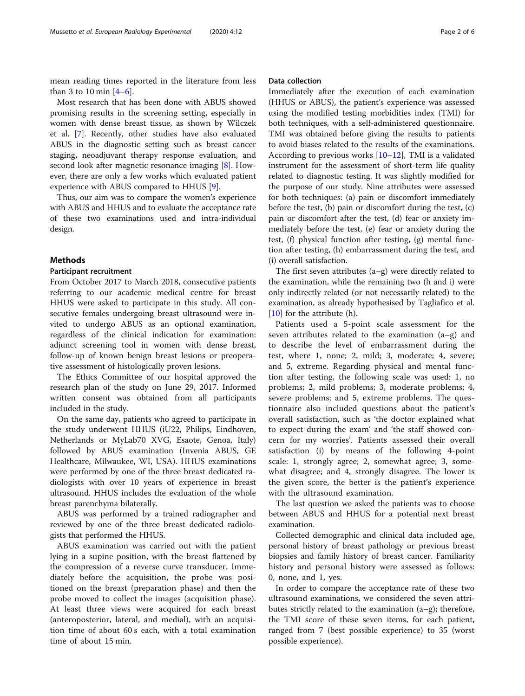mean reading times reported in the literature from less than 3 to 10 min  $[4-6]$  $[4-6]$  $[4-6]$  $[4-6]$ .

Most research that has been done with ABUS showed promising results in the screening setting, especially in women with dense breast tissue, as shown by Wilczek et al. [[7](#page-5-0)]. Recently, other studies have also evaluated ABUS in the diagnostic setting such as breast cancer staging, neoadjuvant therapy response evaluation, and second look after magnetic resonance imaging [\[8\]](#page-5-0). However, there are only a few works which evaluated patient experience with ABUS compared to HHUS [\[9](#page-5-0)].

Thus, our aim was to compare the women's experience with ABUS and HHUS and to evaluate the acceptance rate of these two examinations used and intra-individual design.

#### Methods

#### Participant recruitment

From October 2017 to March 2018, consecutive patients referring to our academic medical centre for breast HHUS were asked to participate in this study. All consecutive females undergoing breast ultrasound were invited to undergo ABUS as an optional examination, regardless of the clinical indication for examination: adjunct screening tool in women with dense breast, follow-up of known benign breast lesions or preoperative assessment of histologically proven lesions.

The Ethics Committee of our hospital approved the research plan of the study on June 29, 2017. Informed written consent was obtained from all participants included in the study.

On the same day, patients who agreed to participate in the study underwent HHUS (iU22, Philips, Eindhoven, Netherlands or MyLab70 XVG, Esaote, Genoa, Italy) followed by ABUS examination (Invenia ABUS, GE Healthcare, Milwaukee, WI, USA). HHUS examinations were performed by one of the three breast dedicated radiologists with over 10 years of experience in breast ultrasound. HHUS includes the evaluation of the whole breast parenchyma bilaterally.

ABUS was performed by a trained radiographer and reviewed by one of the three breast dedicated radiologists that performed the HHUS.

ABUS examination was carried out with the patient lying in a supine position, with the breast flattened by the compression of a reverse curve transducer. Immediately before the acquisition, the probe was positioned on the breast (preparation phase) and then the probe moved to collect the images (acquisition phase). At least three views were acquired for each breast (anteroposterior, lateral, and medial), with an acquisition time of about 60 s each, with a total examination time of about 15 min.

#### Data collection

Immediately after the execution of each examination (HHUS or ABUS), the patient's experience was assessed using the modified testing morbidities index (TMI) for both techniques, with a self-administered questionnaire. TMI was obtained before giving the results to patients to avoid biases related to the results of the examinations. According to previous works [[10](#page-5-0)–[12](#page-5-0)], TMI is a validated instrument for the assessment of short-term life quality related to diagnostic testing. It was slightly modified for the purpose of our study. Nine attributes were assessed for both techniques: (a) pain or discomfort immediately before the test, (b) pain or discomfort during the test, (c) pain or discomfort after the test, (d) fear or anxiety immediately before the test, (e) fear or anxiety during the test, (f) physical function after testing, (g) mental function after testing, (h) embarrassment during the test, and (i) overall satisfaction.

The first seven attributes (a–g) were directly related to the examination, while the remaining two (h and i) were only indirectly related (or not necessarily related) to the examination, as already hypothesised by Tagliafico et al. [[10\]](#page-5-0) for the attribute (h).

Patients used a 5-point scale assessment for the seven attributes related to the examination (a–g) and to describe the level of embarrassment during the test, where 1, none; 2, mild; 3, moderate; 4, severe; and 5, extreme. Regarding physical and mental function after testing, the following scale was used: 1, no problems; 2, mild problems; 3, moderate problems; 4, severe problems; and 5, extreme problems. The questionnaire also included questions about the patient's overall satisfaction, such as 'the doctor explained what to expect during the exam' and 'the staff showed concern for my worries'. Patients assessed their overall satisfaction (i) by means of the following 4-point scale: 1, strongly agree; 2, somewhat agree; 3, somewhat disagree; and 4, strongly disagree. The lower is the given score, the better is the patient's experience with the ultrasound examination.

The last question we asked the patients was to choose between ABUS and HHUS for a potential next breast examination.

Collected demographic and clinical data included age, personal history of breast pathology or previous breast biopsies and family history of breast cancer. Familiarity history and personal history were assessed as follows: 0, none, and 1, yes.

In order to compare the acceptance rate of these two ultrasound examinations, we considered the seven attributes strictly related to the examination (a–g); therefore, the TMI score of these seven items, for each patient, ranged from 7 (best possible experience) to 35 (worst possible experience).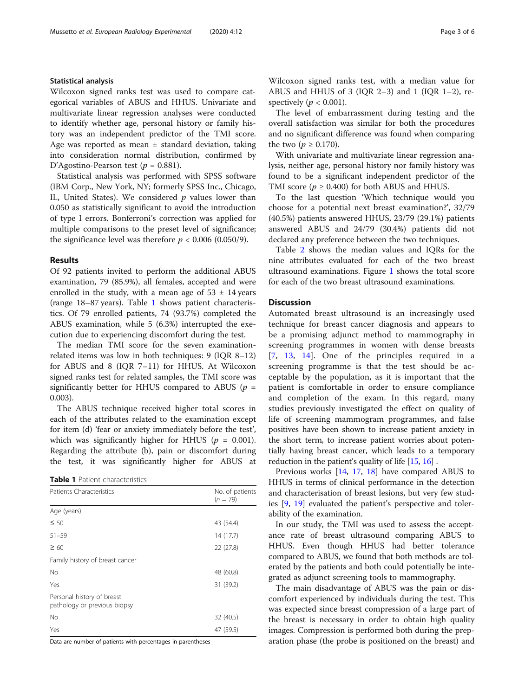#### Statistical analysis

Wilcoxon signed ranks test was used to compare categorical variables of ABUS and HHUS. Univariate and multivariate linear regression analyses were conducted to identify whether age, personal history or family history was an independent predictor of the TMI score. Age was reported as mean  $\pm$  standard deviation, taking into consideration normal distribution, confirmed by D'Agostino-Pearson test ( $p = 0.881$ ).

Statistical analysis was performed with SPSS software (IBM Corp., New York, NY; formerly SPSS Inc., Chicago, IL, United States). We considered  $p$  values lower than 0.050 as statistically significant to avoid the introduction of type I errors. Bonferroni's correction was applied for multiple comparisons to the preset level of significance; the significance level was therefore  $p < 0.006$  (0.050/9).

#### Results

Of 92 patients invited to perform the additional ABUS examination, 79 (85.9%), all females, accepted and were enrolled in the study, with a mean age of  $53 \pm 14$  years (range 18–87 years). Table 1 shows patient characteristics. Of 79 enrolled patients, 74 (93.7%) completed the ABUS examination, while 5 (6.3%) interrupted the execution due to experiencing discomfort during the test.

The median TMI score for the seven examinationrelated items was low in both techniques: 9 (IQR 8–12) for ABUS and 8 (IQR 7–11) for HHUS. At Wilcoxon signed ranks test for related samples, the TMI score was significantly better for HHUS compared to ABUS ( $p =$ 0.003).

The ABUS technique received higher total scores in each of the attributes related to the examination except for item (d) 'fear or anxiety immediately before the test', which was significantly higher for HHUS ( $p = 0.001$ ). Regarding the attribute (b), pain or discomfort during the test, it was significantly higher for ABUS at

| <b>Table 1</b> Patient characteristics |
|----------------------------------------|
|----------------------------------------|

| Patients Characteristics                                   | No. of patients<br>$(n = 79)$ |  |
|------------------------------------------------------------|-------------------------------|--|
| Age (years)                                                |                               |  |
| $\leq 50$                                                  | 43 (54.4)                     |  |
| $51 - 59$                                                  | 14(17.7)                      |  |
| $\geq 60$                                                  | 22 (27.8)                     |  |
| Family history of breast cancer                            |                               |  |
| <b>No</b>                                                  | 48 (60.8)                     |  |
| Yes                                                        | 31 (39.2)                     |  |
| Personal history of breast<br>pathology or previous biopsy |                               |  |
| No                                                         | 32 (40.5)                     |  |
| Yes                                                        | 47 (59.5)                     |  |

Data are number of patients with percentages in parentheses

Wilcoxon signed ranks test, with a median value for ABUS and HHUS of 3 (IQR 2–3) and 1 (IQR 1–2), respectively ( $p < 0.001$ ).

The level of embarrassment during testing and the overall satisfaction was similar for both the procedures and no significant difference was found when comparing the two ( $p \ge 0.170$ ).

With univariate and multivariate linear regression analysis, neither age, personal history nor family history was found to be a significant independent predictor of the TMI score ( $p \ge 0.400$ ) for both ABUS and HHUS.

To the last question 'Which technique would you choose for a potential next breast examination?', 32/79 (40.5%) patients answered HHUS, 23/79 (29.1%) patients answered ABUS and 24/79 (30.4%) patients did not declared any preference between the two techniques.

Table [2](#page-3-0) shows the median values and IQRs for the nine attributes evaluated for each of the two breast ultrasound examinations. Figure [1](#page-3-0) shows the total score for each of the two breast ultrasound examinations.

## **Discussion**

Automated breast ultrasound is an increasingly used technique for breast cancer diagnosis and appears to be a promising adjunct method to mammography in screening programmes in women with dense breasts [[7](#page-5-0), [13,](#page-5-0) [14\]](#page-5-0). One of the principles required in a screening programme is that the test should be acceptable by the population, as it is important that the patient is comfortable in order to ensure compliance and completion of the exam. In this regard, many studies previously investigated the effect on quality of life of screening mammogram programmes, and false positives have been shown to increase patient anxiety in the short term, to increase patient worries about potentially having breast cancer, which leads to a temporary reduction in the patient's quality of life [\[15,](#page-5-0) [16](#page-5-0)] .

Previous works [[14](#page-5-0), [17,](#page-5-0) [18\]](#page-5-0) have compared ABUS to HHUS in terms of clinical performance in the detection and characterisation of breast lesions, but very few studies [[9](#page-5-0), [19](#page-5-0)] evaluated the patient's perspective and tolerability of the examination.

In our study, the TMI was used to assess the acceptance rate of breast ultrasound comparing ABUS to HHUS. Even though HHUS had better tolerance compared to ABUS, we found that both methods are tolerated by the patients and both could potentially be integrated as adjunct screening tools to mammography.

The main disadvantage of ABUS was the pain or discomfort experienced by individuals during the test. This was expected since breast compression of a large part of the breast is necessary in order to obtain high quality images. Compression is performed both during the preparation phase (the probe is positioned on the breast) and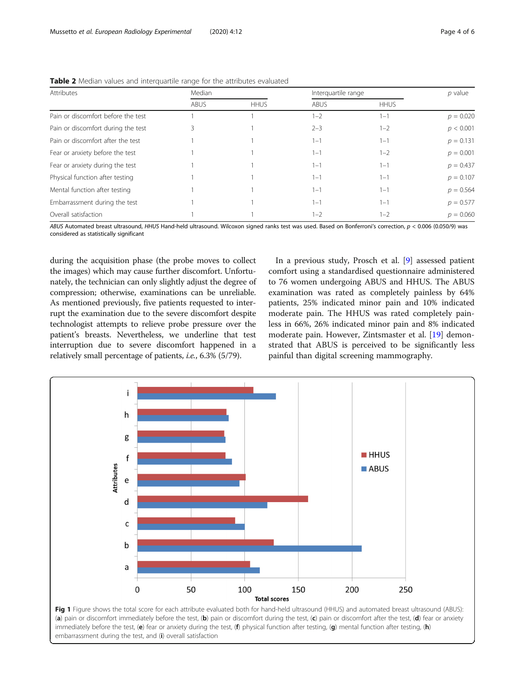| Attributes                         | Median      |             | Interquartile range |             | $p$ value   |
|------------------------------------|-------------|-------------|---------------------|-------------|-------------|
|                                    | <b>ABUS</b> | <b>HHUS</b> | <b>ABUS</b>         | <b>HHUS</b> |             |
| Pain or discomfort before the test |             |             | $1 - 2$             | $1 - 1$     | $p = 0.020$ |
| Pain or discomfort during the test |             |             | $2 - 3$             | $1 - 2$     | p < 0.001   |
| Pain or discomfort after the test  |             |             | $1 - 1$             | $1 - 1$     | $p = 0.131$ |
| Fear or anxiety before the test    |             |             | $1 - 1$             | $1 - 2$     | $p = 0.001$ |
| Fear or anxiety during the test    |             |             | $1 - 1$             | $1 - 1$     | $p = 0.437$ |
| Physical function after testing    |             |             | $1 - 1$             | $1 - 1$     | $p = 0.107$ |
| Mental function after testing      |             |             | $1 - 1$             | $1 - 1$     | $p = 0.564$ |
| Embarrassment during the test      |             |             | $1 - 1$             | $1 - 1$     | $p = 0.577$ |
| Overall satisfaction               |             |             | $1 - 2$             | $1 - 2$     | $p = 0.060$ |

<span id="page-3-0"></span>Table 2 Median values and interquartile range for the attributes evaluated

ABUS Automated breast ultrasound, HHUS Hand-held ultrasound. Wilcoxon signed ranks test was used. Based on Bonferroni's correction,  $p < 0.006$  (0.050/9) was considered as statistically significant

during the acquisition phase (the probe moves to collect the images) which may cause further discomfort. Unfortunately, the technician can only slightly adjust the degree of compression; otherwise, examinations can be unreliable. As mentioned previously, five patients requested to interrupt the examination due to the severe discomfort despite technologist attempts to relieve probe pressure over the patient's breasts. Nevertheless, we underline that test interruption due to severe discomfort happened in a relatively small percentage of patients, i.e., 6.3% (5/79).

In a previous study, Prosch et al. [[9](#page-5-0)] assessed patient comfort using a standardised questionnaire administered to 76 women undergoing ABUS and HHUS. The ABUS examination was rated as completely painless by 64% patients, 25% indicated minor pain and 10% indicated moderate pain. The HHUS was rated completely painless in 66%, 26% indicated minor pain and 8% indicated moderate pain. However, Zintsmaster et al. [\[19](#page-5-0)] demonstrated that ABUS is perceived to be significantly less painful than digital screening mammography.



(a) pain or discomfort immediately before the test, (b) pain or discomfort during the test, (c) pain or discomfort after the test, (d) fear or anxiety immediately before the test, (e) fear or anxiety during the test, (f) physical function after testing, (g) mental function after testing, (h) embarrassment during the test, and (i) overall satisfaction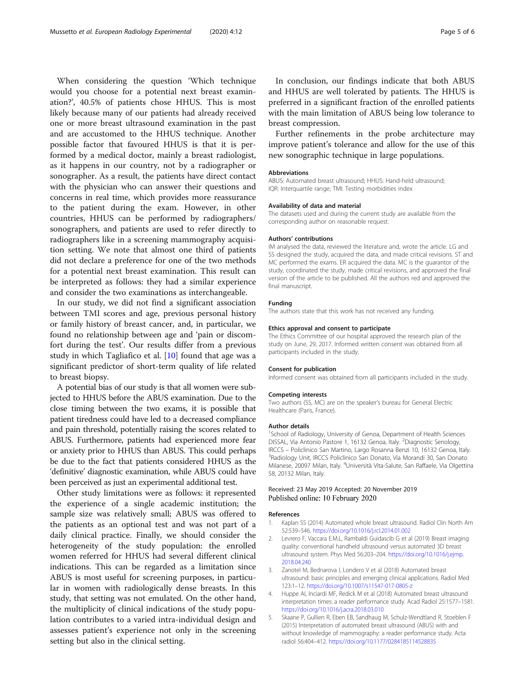<span id="page-4-0"></span>When considering the question 'Which technique would you choose for a potential next breast examination?', 40.5% of patients chose HHUS. This is most likely because many of our patients had already received one or more breast ultrasound examination in the past and are accustomed to the HHUS technique. Another possible factor that favoured HHUS is that it is performed by a medical doctor, mainly a breast radiologist, as it happens in our country, not by a radiographer or sonographer. As a result, the patients have direct contact with the physician who can answer their questions and concerns in real time, which provides more reassurance to the patient during the exam. However, in other countries, HHUS can be performed by radiographers/ sonographers, and patients are used to refer directly to radiographers like in a screening mammography acquisition setting. We note that almost one third of patients did not declare a preference for one of the two methods for a potential next breast examination. This result can be interpreted as follows: they had a similar experience and consider the two examinations as interchangeable.

In our study, we did not find a significant association between TMI scores and age, previous personal history or family history of breast cancer, and, in particular, we found no relationship between age and 'pain or discomfort during the test'. Our results differ from a previous study in which Tagliafico et al. [\[10](#page-5-0)] found that age was a significant predictor of short-term quality of life related to breast biopsy.

A potential bias of our study is that all women were subjected to HHUS before the ABUS examination. Due to the close timing between the two exams, it is possible that patient tiredness could have led to a decreased compliance and pain threshold, potentially raising the scores related to ABUS. Furthermore, patients had experienced more fear or anxiety prior to HHUS than ABUS. This could perhaps be due to the fact that patients considered HHUS as the 'definitive' diagnostic examination, while ABUS could have been perceived as just an experimental additional test.

Other study limitations were as follows: it represented the experience of a single academic institution; the sample size was relatively small; ABUS was offered to the patients as an optional test and was not part of a daily clinical practice. Finally, we should consider the heterogeneity of the study population: the enrolled women referred for HHUS had several different clinical indications. This can be regarded as a limitation since ABUS is most useful for screening purposes, in particular in women with radiologically dense breasts. In this study, that setting was not emulated. On the other hand, the multiplicity of clinical indications of the study population contributes to a varied intra-individual design and assesses patient's experience not only in the screening setting but also in the clinical setting.

In conclusion, our findings indicate that both ABUS and HHUS are well tolerated by patients. The HHUS is preferred in a significant fraction of the enrolled patients with the main limitation of ABUS being low tolerance to breast compression.

Further refinements in the probe architecture may improve patient's tolerance and allow for the use of this new sonographic technique in large populations.

#### **Abbreviations**

ABUS: Automated breast ultrasound; HHUS: Hand-held ultrasound; IQR: Interquartile range; TMI: Testing morbidities index

#### Availability of data and material

The datasets used and during the current study are available from the corresponding author on reasonable request.

#### Authors' contributions

IM analysed the data, reviewed the literature and, wrote the article. LG and SS designed the study, acquired the data, and made critical revisions. ST and MC performed the exams. ER acquired the data. MC is the guarantor of the study, coordinated the study, made critical revisions, and approved the final version of the article to be published. All the authors red and approved the final manuscript.

#### Funding

The authors state that this work has not received any funding.

#### Ethics approval and consent to participate

The Ethics Committee of our hospital approved the research plan of the study on June, 29, 2017. Informed written consent was obtained from all participants included in the study.

#### Consent for publication

Informed consent was obtained from all participants included in the study.

#### Competing interests

Two authors (SS, MC) are on the speaker's bureau for General Electric Healthcare (Paris, France).

#### Author details

<sup>1</sup>School of Radiology, University of Genoa, Department of Health Sciences DISSAL, Via Antonio Pastore 1, 16132 Genoa, Italy. <sup>2</sup>Diagnostic Senology IRCCS – Policlinico San Martino, Largo Rosanna Benzi 10, 16132 Genoa, Italy. <sup>3</sup> Radiology Unit, IRCCS Policlinico San Donato, Via Morandi 30, San Donato Milanese, 20097 Milan, Italy. <sup>4</sup>Università Vita-Salute, San Raffaele, Via Olgettina 58, 20132 Milan, Italy.

## Received: 23 May 2019 Accepted: 20 November 2019 Published online: 10 February 2020

#### References

- 1. Kaplan SS (2014) Automated whole breast ultrasound. Radiol Clin North Am 52:539–546. <https://doi.org/10.1016/j.rcl.2014.01.002>
- 2. Levrero F, Vaccara E.M.L, Rambaldi Guidascib G et al (2019) Breast imaging quality: conventional handheld ultrasound versus automated 3D breast ultrasound system. Phys Med 56:203–204. [https://doi.org/10.1016/j.ejmp.](https://doi.org/10.1016/j.ejmp.2018.04.240) [2018.04.240](https://doi.org/10.1016/j.ejmp.2018.04.240)
- Zanotel M, Bednarova I, Londero V et al (2018) Automated breast ultrasound: basic principles and emerging clinical applications. Radiol Med 123:1–12. <https://doi.org/10.1007/s11547-017-0805-z>
- 4. Huppe AI, Inciardi MF, Redick M et al (2018) Automated breast ultrasound interpretation times: a reader performance study. Acad Radiol 25:1577–1581. <https://doi.org/10.1016/j.acra.2018.03.010>
- 5. Skaane P, Gullien R, Eben EB, Sandhaug M, Schulz-Wendtland R, Stoeblen F (2015) Interpretation of automated breast ultrasound (ABUS) with and without knowledge of mammography: a reader performance study. Acta radiol 56:404–412. <https://doi.org/10.1177/0284185114528835>